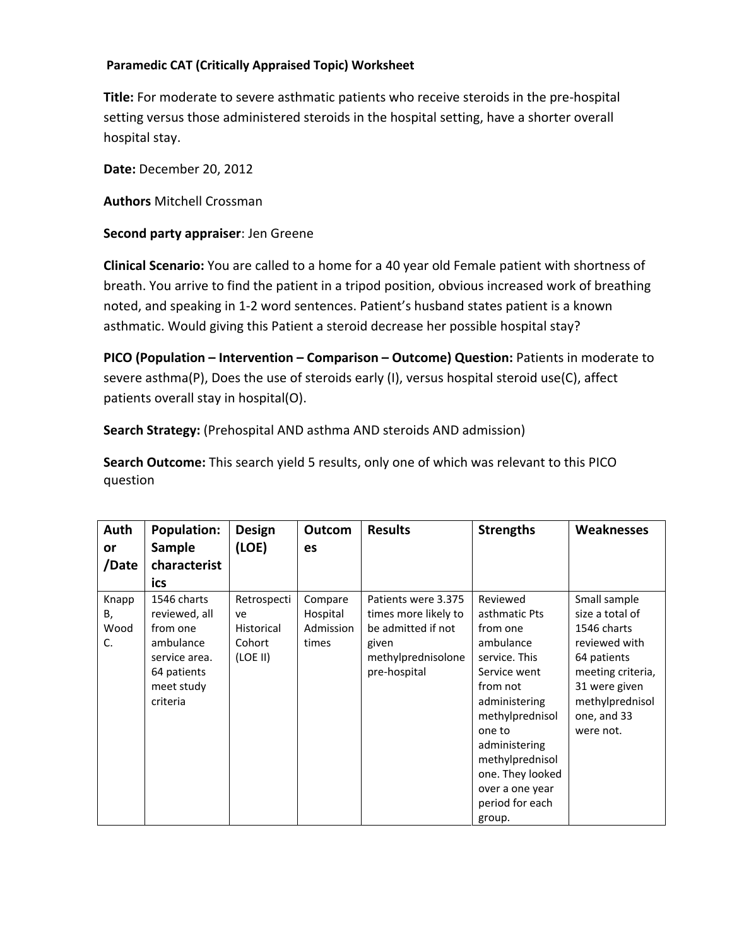## **Paramedic CAT (Critically Appraised Topic) Worksheet**

**Title:** For moderate to severe asthmatic patients who receive steroids in the pre‐hospital setting versus those administered steroids in the hospital setting, have a shorter overall hospital stay.

**Date:** December 20, 2012

**Authors** Mitchell Crossman

## **Second party appraiser**: Jen Greene

**Clinical Scenario:** You are called to a home for a 40 year old Female patient with shortness of breath. You arrive to find the patient in a tripod position, obvious increased work of breathing noted, and speaking in 1‐2 word sentences. Patient's husband states patient is a known asthmatic. Would giving this Patient a steroid decrease her possible hospital stay?

**PICO (Population – Intervention – Comparison – Outcome) Question:** Patients in moderate to severe asthma(P), Does the use of steroids early (I), versus hospital steroid use(C), affect patients overall stay in hospital(O).

**Search Strategy:** (Prehospital AND asthma AND steroids AND admission)

**Search Outcome:** This search yield 5 results, only one of which was relevant to this PICO question

| Auth                      | <b>Population:</b>                                                                                              | <b>Design</b>                                                | Outcom                                    | <b>Results</b>                                                                                                   | <b>Strengths</b>                                                                                                                                                                                                                            | <b>Weaknesses</b>                                                                                                                                                   |
|---------------------------|-----------------------------------------------------------------------------------------------------------------|--------------------------------------------------------------|-------------------------------------------|------------------------------------------------------------------------------------------------------------------|---------------------------------------------------------------------------------------------------------------------------------------------------------------------------------------------------------------------------------------------|---------------------------------------------------------------------------------------------------------------------------------------------------------------------|
| <b>or</b>                 | <b>Sample</b>                                                                                                   | (LOE)                                                        | es                                        |                                                                                                                  |                                                                                                                                                                                                                                             |                                                                                                                                                                     |
| /Date                     | characterist                                                                                                    |                                                              |                                           |                                                                                                                  |                                                                                                                                                                                                                                             |                                                                                                                                                                     |
|                           | ics                                                                                                             |                                                              |                                           |                                                                                                                  |                                                                                                                                                                                                                                             |                                                                                                                                                                     |
| Knapp<br>В,<br>Wood<br>C. | 1546 charts<br>reviewed, all<br>from one<br>ambulance<br>service area.<br>64 patients<br>meet study<br>criteria | Retrospecti<br>ve<br><b>Historical</b><br>Cohort<br>(LOE II) | Compare<br>Hospital<br>Admission<br>times | Patients were 3.375<br>times more likely to<br>be admitted if not<br>given<br>methylprednisolone<br>pre-hospital | Reviewed<br>asthmatic Pts<br>from one<br>ambulance<br>service. This<br>Service went<br>from not<br>administering<br>methylprednisol<br>one to<br>administering<br>methylprednisol<br>one. They looked<br>over a one year<br>period for each | Small sample<br>size a total of<br>1546 charts<br>reviewed with<br>64 patients<br>meeting criteria,<br>31 were given<br>methylprednisol<br>one, and 33<br>were not. |
|                           |                                                                                                                 |                                                              |                                           |                                                                                                                  | group.                                                                                                                                                                                                                                      |                                                                                                                                                                     |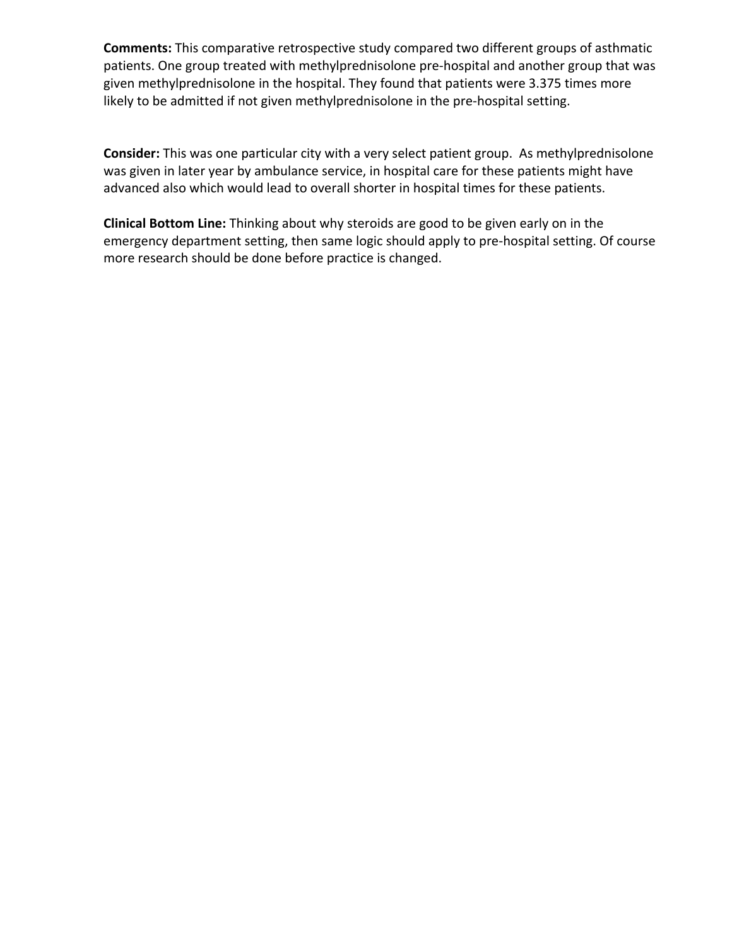**Comments:** This comparative retrospective study compared two different groups of asthmatic patients. One group treated with methylprednisolone pre‐hospital and another group that was given methylprednisolone in the hospital. They found that patients were 3.375 times more likely to be admitted if not given methylprednisolone in the pre‐hospital setting.

**Consider:** This was one particular city with a very select patient group. As methylprednisolone was given in later year by ambulance service, in hospital care for these patients might have advanced also which would lead to overall shorter in hospital times for these patients.

**Clinical Bottom Line:** Thinking about why steroids are good to be given early on in the emergency department setting, then same logic should apply to pre-hospital setting. Of course more research should be done before practice is changed.